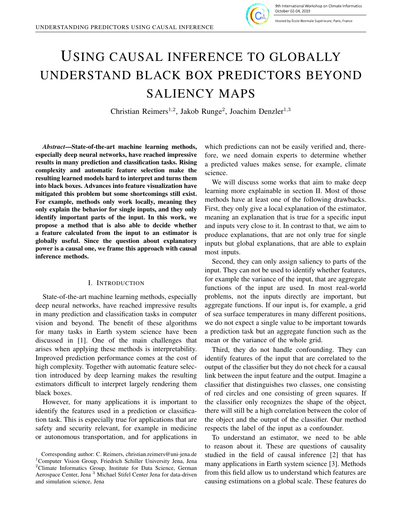

Hosted by École Normale Supérieure, Paris, France

# USING CAUSAL INFERENCE TO GLOBALLY UNDERSTAND BLACK BOX PREDICTORS BEYOND SALIENCY MAPS

Christian Reimers<sup>1,2</sup>, Jakob Runge<sup>2</sup>, Joachim Denzler<sup>1,3</sup>

*Abstract*—State-of-the-art machine learning methods, especially deep neural networks, have reached impressive results in many prediction and classification tasks. Rising complexity and automatic feature selection make the resulting learned models hard to interpret and turns them into black boxes. Advances into feature visualization have mitigated this problem but some shortcomings still exist. For example, methods only work locally, meaning they only explain the behavior for single inputs, and they only identify important parts of the input. In this work, we propose a method that is also able to decide whether a feature calculated from the input to an estimator is globally useful. Since the question about explanatory power is a causal one, we frame this approach with causal inference methods.

# I. INTRODUCTION

State-of-the-art machine learning methods, especially deep neural networks, have reached impressive results in many prediction and classification tasks in computer vision and beyond. The benefit of these algorithms for many tasks in Earth system science have been discussed in [1]. One of the main challenges that arises when applying these methods is interpretability. Improved prediction performance comes at the cost of high complexity. Together with automatic feature selection introduced by deep learning makes the resulting estimators difficult to interpret largely rendering them black boxes.

However, for many applications it is important to identify the features used in a prediction or classification task. This is especially true for applications that are safety and security relevant, for example in medicine or autonomous transportation, and for applications in

which predictions can not be easily verified and, therefore, we need domain experts to determine whether a predicted values makes sense, for example, climate science.

We will discuss some works that aim to make deep learning more explainable in section II. Most of those methods have at least one of the following drawbacks. First, they only give a local explanation of the estimator, meaning an explanation that is true for a specific input and inputs very close to it. In contrast to that, we aim to produce explanations, that are not only true for single inputs but global explanations, that are able to explain most inputs.

Second, they can only assign saliency to parts of the input. They can not be used to identify whether features, for example the variance of the input, that are aggregate functions of the input are used. In most real-world problems, not the inputs directly are important, but aggregate functions. If our input is, for example, a grid of sea surface temperatures in many different positions, we do not expect a single value to be important towards a prediction task but an aggregate function such as the mean or the variance of the whole grid.

Third, they do not handle confounding. They can identify features of the input that are correlated to the output of the classifier but they do not check for a causal link between the input feature and the output. Imagine a classifier that distinguishes two classes, one consisting of red circles and one consisting of green squares. If the classifier only recognizes the shape of the object, there will still be a high correlation between the color of the object and the output of the classifier. Our method respects the label of the input as a confounder.

To understand an estimator, we need to be able to reason about it. These are questions of causality studied in the field of causal inference [2] that has many applications in Earth system science [3]. Methods from this field allow us to understand which features are causing estimations on a global scale. These features do

Corresponding author: C. Reimers, christian.reimers@uni-jena.de <sup>1</sup>Computer Vision Group, Friedrich Schiller University Jena, Jena <sup>2</sup>Climate Informatics Group, Institute for Data Science, German Aerospace Center, Jena <sup>3</sup> Michael Stifel Center Jena for data-driven and simulation science, Jena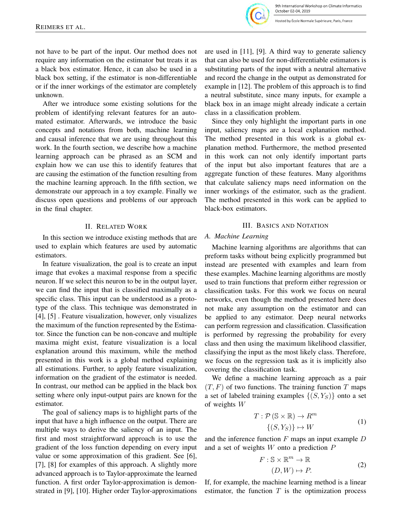9th International Workshop on Climate Informatics October 02-04, 2019

losted by École Normale Supérieure, Paris, France

not have to be part of the input. Our method does not require any information on the estimator but treats it as a black box estimator. Hence, it can also be used in a black box setting, if the estimator is non-differentiable or if the inner workings of the estimator are completely unknown.

After we introduce some existing solutions for the problem of identifying relevant features for an automated estimator. Afterwards, we introduce the basic concepts and notations from both, machine learning and causal inference that we are using throughout this work. In the fourth section, we describe how a machine learning approach can be phrased as an SCM and explain how we can use this to identify features that are causing the estimation of the function resulting from the machine learning approach. In the fifth section, we demonstrate our approach in a toy example. Finally we discuss open questions and problems of our approach in the final chapter.

# II. RELATED WORK

In this section we introduce existing methods that are used to explain which features are used by automatic estimators.

In feature visualization, the goal is to create an input image that evokes a maximal response from a specific neuron. If we select this neuron to be in the output layer, we can find the input that is classified maximally as a specific class. This input can be understood as a prototype of the class. This technique was demonstrated in [4], [5] . Feature visualization, however, only visualizes the maximum of the function represented by the Estimator. Since the function can be non-concave and multiple maxima might exist, feature visualization is a local explanation around this maximum, while the method presented in this work is a global method explaining all estimations. Further, to apply feature visualization, information on the gradient of the estimator is needed. In contrast, our method can be applied in the black box setting where only input-output pairs are known for the estimator.

The goal of saliency maps is to highlight parts of the input that have a high influence on the output. There are multiple ways to derive the saliency of an input. The first and most straightforward approach is to use the gradient of the loss function depending on every input value or some approximation of this gradient. See [6], [7], [8] for examples of this approach. A slightly more advanced approach is to Taylor-approximate the learned function. A first order Taylor-approximation is demonstrated in [9], [10]. Higher order Taylor-approximations

are used in [11], [9]. A third way to generate saliency that can also be used for non-differentiable estimators is substituting parts of the input with a neutral alternative and record the change in the output as demonstrated for example in [12]. The problem of this approach is to find a neutral substitute, since many inputs, for example a black box in an image might already indicate a certain class in a classification problem.

Since they only highlight the important parts in one input, saliency maps are a local explanation method. The method presented in this work is a global explanation method. Furthermore, the method presented in this work can not only identify important parts of the input but also important features that are a aggregate function of these features. Many algorithms that calculate saliency maps need information on the inner workings of the estimator, such as the gradient. The method presented in this work can be applied to black-box estimators.

# III. BASICS AND NOTATION

## *A. Machine Learning*

Machine learning algorithms are algorithms that can preform tasks without being explicitly programmed but instead are presented with examples and learn from these examples. Machine learning algorithms are mostly used to train functions that preform either regression or classification tasks. For this work we focus on neural networks, even though the method presented here does not make any assumption on the estimator and can be applied to any estimator. Deep neural networks can perform regression and classification. Classification is performed by regressing the probability for every class and then using the maximum likelihood classifier, classifying the input as the most likely class. Therefore, we focus on the regression task as it is implicitly also covering the classification task.

We define a machine learning approach as a pair  $(T, F)$  of two functions. The training function T maps a set of labeled training examples  $\{(S, Y_S)\}\$ onto a set of weights W

$$
T: \mathcal{P}(\mathbb{S} \times \mathbb{R}) \to R^m
$$
  

$$
\{(S, Y_S)\} \mapsto W
$$
 (1)

and the inference function  $F$  maps an input example  $D$ and a set of weights W onto a prediction P

$$
F: \mathbb{S} \times \mathbb{R}^m \to \mathbb{R}
$$
  

$$
(D, W) \mapsto P.
$$
 (2)

If, for example, the machine learning method is a linear estimator, the function  $T$  is the optimization process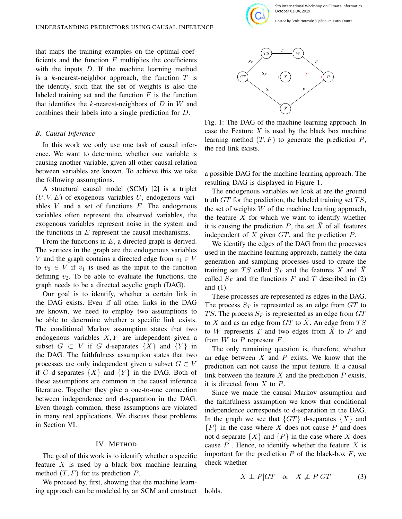9th International Workshop on Climate Informatics October 02-04, 2019

Hosted by École Normale Supérieure, Paris, France

that maps the training examples on the optimal coefficients and the function  $F$  multiplies the coefficients with the inputs D. If the machine learning method is a k-nearest-neighbor approach, the function  $T$  is the identity, such that the set of weights is also the labeled training set and the function  $F$  is the function that identifies the  $k$ -nearest-neighbors of  $D$  in  $W$  and combines their labels into a single prediction for D.

# *B. Causal Inference*

In this work we only use one task of causal inference. We want to determine, whether one variable is causing another variable, given all other causal relation between variables are known. To achieve this we take the following assumptions.

A structural causal model (SCM) [2] is a triplet  $(U, V, E)$  of exogenous variables U, endogenous variables  $V$  and a set of functions  $E$ . The endogenous variables often represent the observed variables, the exogenous variables represent noise in the system and the functions in  $E$  represent the causal mechanisms.

From the functions in  $E$ , a directed graph is derived. The vertices in the graph are the endogenous variables V and the graph contains a directed edge from  $v_1 \in V$ to  $v_2 \in V$  if  $v_1$  is used as the input to the function defining  $v_2$ . To be able to evaluate the functions, the graph needs to be a directed acyclic graph (DAG).

Our goal is to identify, whether a certain link in the DAG exists. Even if all other links in the DAG are known, we need to employ two assumptions to be able to determine whether a specific link exists. The conditional Markov assumption states that two endogenous variables  $X, Y$  are independent given a subset  $G \subset V$  if G d-separates  $\{X\}$  and  $\{Y\}$  in the DAG. The faithfulness assumption states that two processes are only independent given a subset  $G \subset V$ if G d-separates  $\{X\}$  and  $\{Y\}$  in the DAG. Both of these assumptions are common in the causal inference literature. Together they give a one-to-one connection between independence and d-separation in the DAG. Even though common, these assumptions are violated in many real applications. We discuss these problems in Section VI.

#### IV. METHOD

The goal of this work is to identify whether a specific feature  $X$  is used by a black box machine learning method  $(T, F)$  for its prediction P.

We proceed by, first, showing that the machine learning approach can be modeled by an SCM and construct



Fig. 1: The DAG of the machine learning approach. In case the Feature  $X$  is used by the black box machine learning method  $(T, F)$  to generate the prediction  $P$ , the red link exists.

a possible DAG for the machine learning approach. The resulting DAG is displayed in Figure 1.

The endogenous variables we look at are the ground truth  $GT$  for the prediction, the labeled training set  $TS$ , the set of weights  $W$  of the machine learning approach, the feature  $X$  for which we want to identify whether it is causing the prediction P, the set  $\bar{X}$  of all features independent of  $X$  given  $GT$ , and the prediction  $P$ .

We identify the edges of the DAG from the processes used in the machine learning approach, namely the data generation and sampling processes used to create the training set TS called  $S_T$  and the features X and  $\bar{X}$ called  $S_F$  and the functions F and T described in (2) and (1).

These processes are represented as edges in the DAG. The process  $S_T$  is represented as an edge from  $GT$  to TS. The process  $S_F$  is represented as an edge from  $GT$ to X and as an edge from  $GT$  to X. An edge from  $TS$ to W represents T and two edges from  $\overline{X}$  to P and from  $W$  to  $P$  represent  $F$ .

The only remaining question is, therefore, whether an edge between  $X$  and  $P$  exists. We know that the prediction can not cause the input feature. If a causal link between the feature  $X$  and the prediction  $P$  exists, it is directed from  $X$  to  $P$ .

Since we made the causal Markov assumption and the faithfulness assumption we know that conditional independence corresponds to d-separation in the DAG. In the graph we see that  $\{GT\}$  d-separates  $\{X\}$  and  ${P}$  in the case where X does not cause P and does not d-separate  $\{X\}$  and  $\{P\}$  in the case where X does cause  $P$ . Hence, to identify whether the feature  $X$  is important for the prediction  $P$  of the black-box  $F$ , we check whether

$$
X \perp\!\!\!\perp P|GT \quad \text{or} \quad X \not\perp\!\!\!\perp P|GT \tag{3}
$$

holds.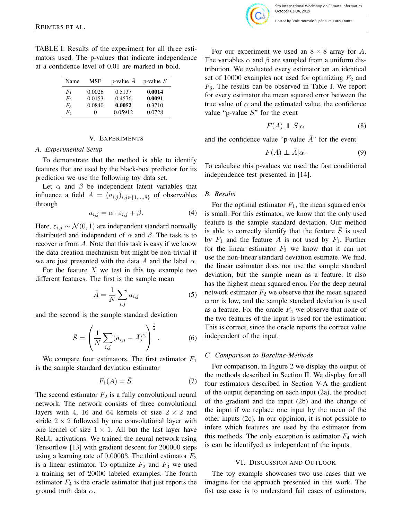TABLE I: Results of the experiment for all three estimators used. The p-values that indicate independence at a confidence level of 0.01 are marked in bold.

| Name        | <b>MSE</b> | p-value $A$ | p-value $S$ |
|-------------|------------|-------------|-------------|
| Fì          | 0.0026     | 0.5137      | 0.0014      |
| $F_2$       | 0.0153     | 0.4576      | 0.0091      |
| $F_3$       | 0.0840     | 0.0052      | 0.3710      |
| $F_{\rm 4}$ |            | 0.05912     | 0.0728      |

## V. EXPERIMENTS

#### *A. Experimental Setup*

To demonstrate that the method is able to identify features that are used by the black-box predictor for its prediction we use the following toy data set.

Let  $\alpha$  and  $\beta$  be independent latent variables that influence a field  $A = (a_{i,j})_{i,j \in \{1,...,8\}}$  of observables through

$$
a_{i,j} = \alpha \cdot \varepsilon_{i,j} + \beta. \tag{4}
$$

Here,  $\varepsilon_{i,j} \sim \mathcal{N}(0, 1)$  are independent standard normally distributed and independent of  $\alpha$  and  $\beta$ . The task is to recover  $\alpha$  from A. Note that this task is easy if we know the data creation mechanism but might be non-trivial if we are just presented with the data A and the label  $\alpha$ .

For the feature  $X$  we test in this toy example two different features. The first is the sample mean

$$
\bar{A} = \frac{1}{N} \sum_{i,j} a_{i,j} \tag{5}
$$

and the second is the sample standard deviation

$$
\bar{S} = \left(\frac{1}{N} \sum_{i,j} (a_{i,j} - \bar{A})^2\right)^{\frac{1}{2}}.
$$
 (6)

We compare four estimators. The first estimator  $F_1$ is the sample standard deviation estimator

$$
F_1(A) = \bar{S}.\tag{7}
$$

The second estimator  $F_2$  is a fully convolutional neural network. The network consists of three convolutional layers with 4, 16 and 64 kernels of size  $2 \times 2$  and stride  $2 \times 2$  followed by one convolutional layer with one kernel of size  $1 \times 1$ . All but the last layer have ReLU activations. We trained the neural network using Tensorflow [13] with gradient descent for 200000 steps using a learning rate of 0.00003. The third estimator  $F_3$ is a linear estimator. To optimize  $F_2$  and  $F_3$  we used a training set of 20000 labeled examples. The fourth estimator  $F_4$  is the oracle estimator that just reports the ground truth data  $\alpha$ .

osted by École Normale Supérieure, Paris, France

For our experiment we used an  $8 \times 8$  array for A. The variables  $\alpha$  and  $\beta$  are sampled from a uniform distribution. We evaluated every estimator on an identical set of 10000 examples not used for optimizing  $F_2$  and  $F_3$ . The results can be observed in Table I. We report for every estimator the mean squared error between the true value of  $\alpha$  and the estimated value, the confidence value "p-value  $\bar{S}$ " for the event

$$
F(A) \perp \bar{S}|\alpha \tag{8}
$$

and the confidence value "p-value  $\overline{A}$ " for the event

$$
F(A) \perp \bar{A} | \alpha. \tag{9}
$$

To calculate this p-values we used the fast conditional independence test presented in [14].

## *B. Results*

For the optimal estimator  $F_1$ , the mean squared error is small. For this estimator, we know that the only used feature is the sample standard deviation. Our method is able to correctly identify that the feature  $\overline{S}$  is used by  $F_1$  and the feature A is not used by  $F_1$ . Further for the linear estimator  $F_3$  we know that it can not use the non-linear standard deviation estimate. We find, the linear estimator does not use the sample standard deviation, but the sample mean as a feature. It also has the highest mean squared error. For the deep neural network estimator  $F_2$  we observe that the mean squared error is low, and the sample standard deviation is used as a feature. For the oracle  $F_4$  we observe that none of the two features of the input is used for the estimation. This is correct, since the oracle reports the correct value independent of the input.

#### *C. Comparison to Baseline-Methods*

For comparison, in Figure 2 we display the output of the methods described in Section II. We display for all four estimators described in Section V-A the gradient of the output depending on each input (2a), the product of the gradient and the input (2b) and the change of the input if we replace one input by the mean of the other inputs (2c). In our oppinion, it is not possible to infere which features are used by the estimator from this methods. The only exception is estimator  $F_4$  wich is can be identifyed as independent of the inputs.

### VI. DISCUSSION AND OUTLOOK

The toy example showcases two use cases that we imagine for the approach presented in this work. The fist use case is to understand fail cases of estimators.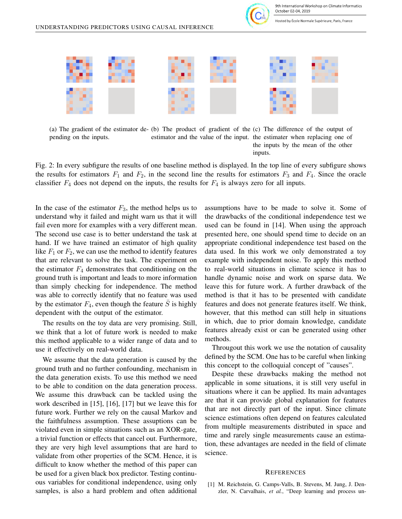

Hosted by École Normale Supérieure, Paris, France



(a) The gradient of the estimator de-(b) The product of gradient of the (c) The difference of the output of pending on the inputs. estimator and the value of the input. the estimater when replacing one of the inputs by the mean of the other inputs.

Fig. 2: In every subfigure the results of one baseline method is displayed. In the top line of every subfigure shows the results for estimators  $F_1$  and  $F_2$ , in the second line the results for estimators  $F_3$  and  $F_4$ . Since the oracle classifier  $F_4$  does not depend on the inputs, the results for  $F_4$  is always zero for all inputs.

In the case of the estimator  $F_3$ , the method helps us to understand why it failed and might warn us that it will fail even more for examples with a very different mean. The second use case is to better understand the task at hand. If we have trained an estimator of high quality like  $F_1$  or  $F_2$ , we can use the method to identify features that are relevant to solve the task. The experiment on the estimator  $F_4$  demonstrates that conditioning on the ground truth is important and leads to more information than simply checking for independence. The method was able to correctly identify that no feature was used by the estimator  $F_4$ , even though the feature S is highly dependent with the output of the estimator.

The results on the toy data are very promising. Still, we think that a lot of future work is needed to make this method applicable to a wider range of data and to use it effectively on real-world data.

We assume that the data generation is caused by the ground truth and no further confounding, mechanism in the data generation exists. To use this method we need to be able to condition on the data generation process. We assume this drawback can be tackled using the work described in [15], [16], [17] but we leave this for future work. Further we rely on the causal Markov and the faithfulness assumption. These assuptions can be violated even in simple situations such as an XOR-gate, a trivial function or effects that cancel out. Furthermore, they are very high level assumptions that are hard to validate from other properties of the SCM. Hence, it is difficult to know whether the method of this paper can be used for a given black box predictor. Testing continuous variables for conditional independence, using only samples, is also a hard problem and often additional assumptions have to be made to solve it. Some of the drawbacks of the conditional independence test we used can be found in [14]. When using the approach presented here, one should spend time to decide on an appropriate conditional independence test based on the data used. In this work we only demonstrated a toy example with independent noise. To apply this method to real-world situations in climate science it has to handle dynamic noise and work on sparse data. We leave this for future work. A further drawback of the method is that it has to be presented with candidate features and does not generate features itself. We think, however, that this method can still help in situations in which, due to prior domain knowledge, candidate features already exist or can be generated using other methods.

Througout this work we use the notation of causality defined by the SCM. One has to be careful when linking this concept to the colloquial concept of "causes".

Despite these drawbacks making the method not applicable in some situations, it is still very useful in situations where it can be applied. Its main advantages are that it can provide global explanation for features that are not directly part of the input. Since climate science estimations often depend on features calculated from multiple measurements distributed in space and time and rarely single measurements cause an estimation, these advantages are needed in the field of climate science.

#### **REFERENCES**

[1] M. Reichstein, G. Camps-Valls, B. Stevens, M. Jung, J. Denzler, N. Carvalhais, *et al.*, "Deep learning and process un-